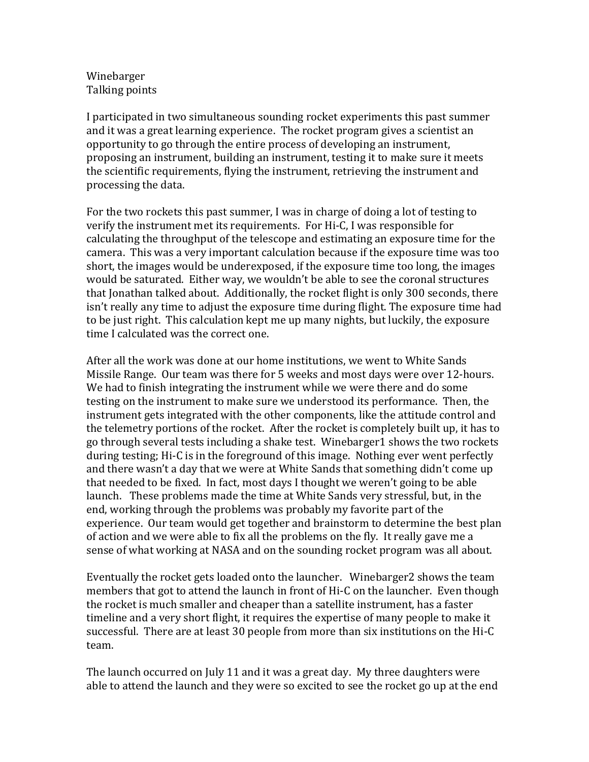## Winebarger Talking points

I participated in two simultaneous sounding rocket experiments this past summer and it was a great learning experience. The rocket program gives a scientist an opportunity to go through the entire process of developing an instrument, proposing an instrument, building an instrument, testing it to make sure it meets the scientific requirements, flying the instrument, retrieving the instrument and processing the data.

For the two rockets this past summer, I was in charge of doing a lot of testing to verify the instrument met its requirements. For Hi-C, I was responsible for calculating the throughput of the telescope and estimating an exposure time for the camera. This was a very important calculation because if the exposure time was too short, the images would be underexposed, if the exposure time too long, the images would be saturated. Either way, we wouldn't be able to see the coronal structures that Jonathan talked about. Additionally, the rocket flight is only 300 seconds, there isn't really any time to adjust the exposure time during flight. The exposure time had to be just right. This calculation kept me up many nights, but luckily, the exposure time I calculated was the correct one.

After all the work was done at our home institutions, we went to White Sands Missile Range. Our team was there for 5 weeks and most days were over 12-hours. We had to finish integrating the instrument while we were there and do some testing on the instrument to make sure we understood its performance. Then, the instrument gets integrated with the other components, like the attitude control and the telemetry portions of the rocket. After the rocket is completely built up, it has to go through several tests including a shake test. Winebarger1 shows the two rockets during testing; Hi-C is in the foreground of this image. Nothing ever went perfectly and there wasn't a day that we were at White Sands that something didn't come up that needed to be fixed. In fact, most days I thought we weren't going to be able launch. These problems made the time at White Sands very stressful, but, in the end, working through the problems was probably my favorite part of the experience. Our team would get together and brainstorm to determine the best plan of action and we were able to fix all the problems on the fly. It really gave me a sense of what working at NASA and on the sounding rocket program was all about.

Eventually the rocket gets loaded onto the launcher. Winebarger2 shows the team members that got to attend the launch in front of Hi-C on the launcher. Even though the rocket is much smaller and cheaper than a satellite instrument, has a faster timeline and a very short flight, it requires the expertise of many people to make it successful. There are at least 30 people from more than six institutions on the Hi-C team.

The launch occurred on July 11 and it was a great day. My three daughters were able to attend the launch and they were so excited to see the rocket go up at the end